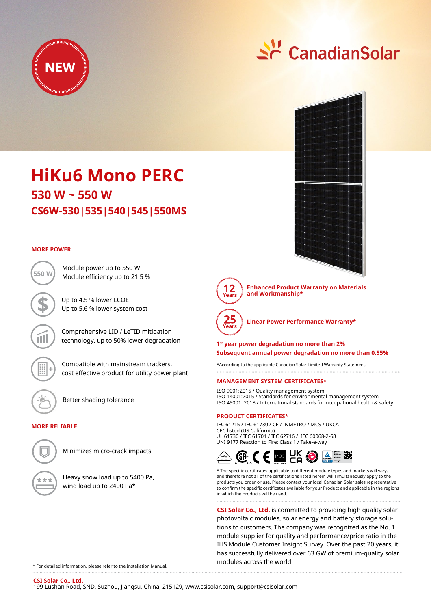

# <u> 수</u> CanadianSolar



**Enhanced Product Warranty on Materials and Workmanship\***



**Linear Power Performance Warranty\***

**1st year power degradation no more than 2% Subsequent annual power degradation no more than 0.55%**

\*According to the applicable Canadian Solar Limited Warranty Statement. 

#### **MANAGEMENT SYSTEM CERTIFICATES\***

ISO 9001:2015 / Quality management system ISO 14001:2015 / Standards for environmental management system ISO 45001: 2018 / International standards for occupational health & safety

#### **PRODUCT CERTIFICATES\***

IEC 61215 / IEC 61730 / CE / INMETRO / MCS / UKCA CEC listed (US California) UL 61730 / IEC 61701 / IEC 62716 / IEC 60068-2-68 UNI 9177 Reaction to Fire: Class 1 / Take-e-way



\* The specific certificates applicable to different module types and markets will vary, and therefore not all of the certifications listed herein will simultaneously apply to the products you order or use. Please contact your local Canadian Solar sales representative to confirm the specific certificates available for your Product and applicable in the regions in which the products will be used.

**CSI Solar Co., Ltd.** is committed to providing high quality solar photovoltaic modules, solar energy and battery storage solutions to customers. The company was recognized as the No. 1 module supplier for quality and performance/price ratio in the IHS Module Customer Insight Survey. Over the past 20 years, it has successfully delivered over 63 GW of premium-quality solar modules across the world.

## **CS6W-530|535|540|545|550MS 530 W ~ 550 W HiKu6 Mono PERC**

Module power up to 550 W

Up to 4.5 % lower LCOE Up to 5.6 % lower system cost

#### **MORE POWER**



Compatible with mainstream trackers, cost effective product for utility power plant

Comprehensive LID / LeTID mitigation technology, up to 50% lower degradation

Better shading tolerance

### **MORE RELIABLE**



Minimizes micro-crack impacts

Heavy snow load up to 5400 Pa, wind load up to 2400 Pa\*

\* For detailed information, please refer to the Installation Manual.